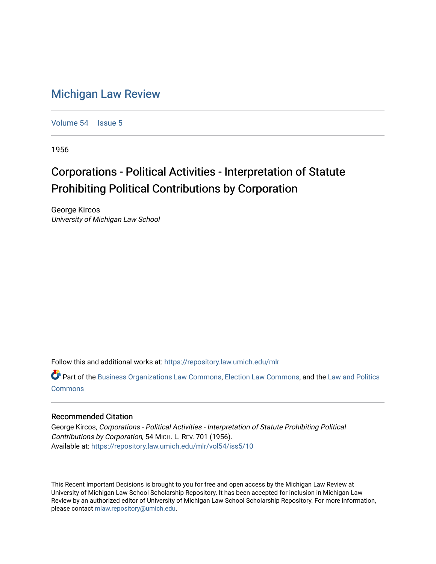## [Michigan Law Review](https://repository.law.umich.edu/mlr)

[Volume 54](https://repository.law.umich.edu/mlr/vol54) | [Issue 5](https://repository.law.umich.edu/mlr/vol54/iss5)

1956

## Corporations - Political Activities - Interpretation of Statute Prohibiting Political Contributions by Corporation

George Kircos University of Michigan Law School

Follow this and additional works at: [https://repository.law.umich.edu/mlr](https://repository.law.umich.edu/mlr?utm_source=repository.law.umich.edu%2Fmlr%2Fvol54%2Fiss5%2F10&utm_medium=PDF&utm_campaign=PDFCoverPages) 

Part of the [Business Organizations Law Commons](http://network.bepress.com/hgg/discipline/900?utm_source=repository.law.umich.edu%2Fmlr%2Fvol54%2Fiss5%2F10&utm_medium=PDF&utm_campaign=PDFCoverPages), [Election Law Commons,](http://network.bepress.com/hgg/discipline/1121?utm_source=repository.law.umich.edu%2Fmlr%2Fvol54%2Fiss5%2F10&utm_medium=PDF&utm_campaign=PDFCoverPages) and the [Law and Politics](http://network.bepress.com/hgg/discipline/867?utm_source=repository.law.umich.edu%2Fmlr%2Fvol54%2Fiss5%2F10&utm_medium=PDF&utm_campaign=PDFCoverPages) [Commons](http://network.bepress.com/hgg/discipline/867?utm_source=repository.law.umich.edu%2Fmlr%2Fvol54%2Fiss5%2F10&utm_medium=PDF&utm_campaign=PDFCoverPages)

## Recommended Citation

George Kircos, Corporations - Political Activities - Interpretation of Statute Prohibiting Political Contributions by Corporation, 54 MICH. L. REV. 701 (1956). Available at: [https://repository.law.umich.edu/mlr/vol54/iss5/10](https://repository.law.umich.edu/mlr/vol54/iss5/10?utm_source=repository.law.umich.edu%2Fmlr%2Fvol54%2Fiss5%2F10&utm_medium=PDF&utm_campaign=PDFCoverPages) 

This Recent Important Decisions is brought to you for free and open access by the Michigan Law Review at University of Michigan Law School Scholarship Repository. It has been accepted for inclusion in Michigan Law Review by an authorized editor of University of Michigan Law School Scholarship Repository. For more information, please contact [mlaw.repository@umich.edu.](mailto:mlaw.repository@umich.edu)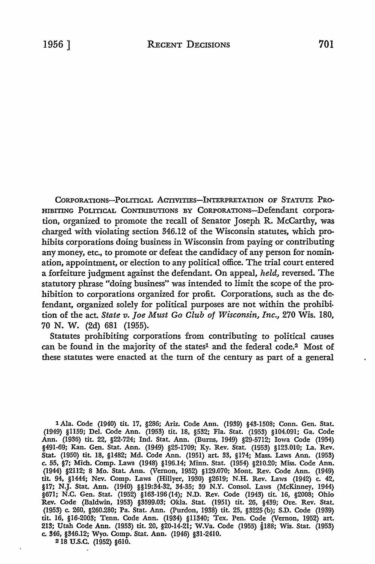CORPORATIONS-POLITICAL ACTIVITIES-INTERPRETATION OF STATUTE PRO-HIBITING POLITICAL CONTRIBUTIONS BY CORPORATIONS-Defendant corporation, organized to promote the recall of Senator Joseph R. McCarthy, was charged with violating section 346.12 of the Wisconsin statutes, which prohibits corporations doing business in Wisconsin from paying or contributing any money, etc., to promote or defeat the candidacy of any person for nomination, appointment, or election to any political office. The trial court entered a forfeiture judgment against the defendant. **On** appeal, *held,* reversed. The statutory phrase "doing business" was intended to limit the scope of the prohibition to corporations organized for profit. Corporations, such as the defendant, organized solely for political purposes are not within the prohibition of the act. *State v. Joe Must Go Club of Wisconsin, Inc.,* 270 Wis. 180, 70 N. W. (2d) 681 (1955).

Statutes prohibiting corporations from contributing to political causes can be found in the majority of the states<sup>1</sup> and the federal code.<sup>2</sup> Most of these statutes were enacted at the tum of the century as part of a general

1 Ala. Code (1940) tit. 17, §286; Ariz. Code Ann. (1939) §43-1508; Conn. Gen. Stat. (1949) §1159; Del. Code Ann. (1953) tit. 18, §532; Fla. Stat. (1953) §104.091; Ga. Code Ann. (1936) tit. 22, §22-724; Ind. Stat. Ann. (Burns, 1949) §29-5712; Iowa Code (1954) §491-69; Kan. Gen. Stat. Ann. (1949) §25-1709; Ky. Rev. Stat. (1953) §123.010; La. Rev. Stat. (1950) tit 18, §1482; Md. Code Ann. (1951) art 33, §174; Mass. Laws Ann. (1953) c. 55, §7; Mich. Comp. Laws (1948) §196.14; Minn. Stat. (1954) §210.20; Miss. Code Ann. (1944) §2112; 8 Mo. Stat Ann. (Vernon, 1952) §129.070; Mont. Rev. Code Ann. (1949) tit 94, §1444; Nev. Comp. Laws (Hillyer, 1930) §2619; N.H. Rev. Laws (1942) c. 42, §17; N.J. Stat Ann. (1940) §§19:34-32, 34-35; 39 N.Y. Consol. Laws (McKinney, 1944) §671; N.C. Gen. Stat. (1952) §163-196 (14); N.D. Rev. Code (1943) tit. 16, §2008; Ohio Rev. Code (Baldwin, 1953) §3599.03; Okla. Stat. (1951) tit. 26, §439; Ore. Rev. Stat. (1953) c. 260, §260.280; Pa. Stat. Ann. (Purdon, 1938) tit 25, §3225 (b); S.D. Code (1939) tit 16, §16-2003; Tenn. Code Ann. (1934) §11340; Tex. Pen. Code (Vernon, 1952) art. 213; Utah Code Ann. (1953) tit. 20, §20-14-21; W.Va. Code (1955) §188; Wis. Stat. (1953) c. 346, §346.12; Wyo. Comp. Stat. Ann. (1946) §31-2410.

218 u.s.c. (1952) §610.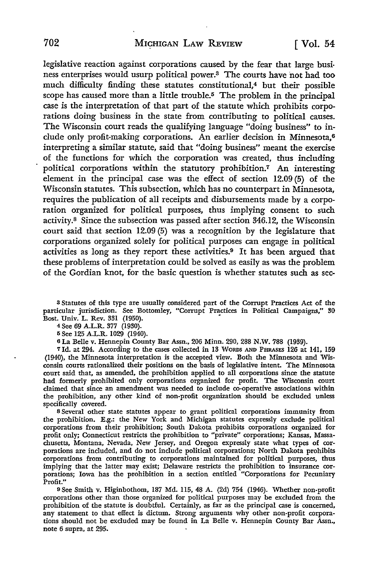legislative reaction against corporations caused by the fear that large business enterprises would usurp political power.3 The courts have not had too much difficulty finding these statutes constitutional,4 but their possible scope has caused more than a little trouble.<sup>5</sup> The problem in the principal case is the interpretation of that part of the statute which prohibits corporations doing business in the state from contributing to political causes. The Wisconsin court reads the qualifying language "doing business" to include only profit-making corporations. An earlier decision in Minnesota,<sup>6</sup> interpreting a similar statute, said that "doing business" meant the exercise of the functions for which the corporation was created, thus including political corporations within the statutory prohibition.7 An interesting element in the principal case was the effect of section 12.09 (5) of the Wisconsin statutes. This subsection, which has no counterpart in Minnesota, requires the publication of all receipts and disbursements made by a corporation organized for political purposes, thus implying consent to such activity.8 Since the subsection was passed after section 346.12, the Wisconsin court said that section 12.09 (5) was a recognition by the legislature that corporations organized solely for political purposes can engage in political activities as long as they report these activities.9 It has been argued that these problems of interpretation could be solved as easily as was the problem of the Gordian knot, for the basic question is whether statutes such as sec-

<sup>3</sup>Statutes of this type are usually considered part of the Corrupt Practices Act of the particular jurisdiction. See Bottomley, "Corrupt Practices in Political Campaigns," 30 Bost. Univ. L. Rev. 331 (1950). •

4 See 69 A.L.R. 377 (1930).

5 See 125 A.L.R. 1029 (1940).

<sup>6</sup>La Belle v. Hennepin County Bar Assn., 206 Minn. 290, 288 N.W. 788 (1939).

<sup>7</sup>Id. at 294. According to the cases collected in 13 WORDS AND PHRASES 126 at 141, 159 (1940), the Minnesota interpretation is the accepted view. Both the Minnesota and Wisconsin courts rationalized their positions on the basis of legislative intent. The Minnesota court said that, as amended, the prohibition applied to all corporations since the statute had formerly prohibited only corporations organized for profit. The Wisconsin court claimed that since an amendment was needed to include co-operative associations within the prohibition, any other kind of non-profit organization should be excluded unless specifically covered.

8 Several other state statutes appear to grant political corporations immunity from the prohibition. E.g.: the New York and Michigan statutes expressly exclude political corporations from their prohibition; South Dakota prohibits corporations organized for profit only; Connecticut restricts the prohibition to "private" corporations; Kansas, Massachusetts, Montana, Nevada, New Jersey, and Oregon expressly state what types of corporations are included, and do not include political corporations; North Dakota prohibits corporations from contributing to corporations maintained for political purposes, thus implying that the latter may exist; Delaware restricts the prohibition to insurance corporations; Iowa has the prohibition in a section entitled "Corporations for Pecuniary Profit."

<sup>9</sup>See Smith v. Higinbothom, 187 Md. 115, 48 A. (2d) 754 (1946). Whether non-profit corporations other than those organized for political purposes may be excluded from the prohibition of the statute is doubtful. Certainly, as far as the principal case is concerned, any statement to that effect is dictum. Strong arguments why other non-profit corporations should not be excluded may be found in La Belle v. Hennepin County Bar Assn., note 6 supra, at 295.